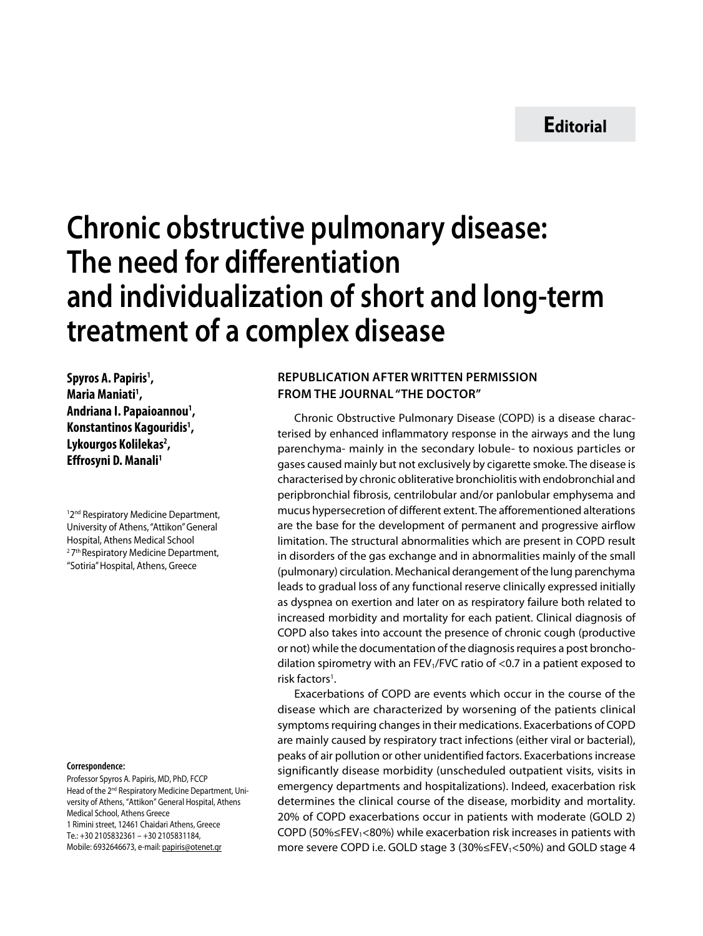## **Chronic obstructive pulmonary disease: The need for differentiation and individualization of short and long-term treatment of a complex disease**

**Spyros A. Papiris<sup>1</sup>, Maria Maniati1 , Andriana I. Papaioannou1 , Konstantinos Kagouridis1 , Lykourgos Kolilekas2 , Effrosyni D. Manali1**

<sup>1</sup>2<sup>nd</sup> Respiratory Medicine Department, University of Athens, "Attikon" General Hospital, Athens Medical School <sup>2</sup>7<sup>th</sup> Respiratory Medicine Department, "Sotiria" Hospital, Athens, Greece

## **Correspondence:**

Professor Spyros A. Papiris, MD, PhD, FCCP Head of the 2<sup>nd</sup> Respiratory Medicine Department, University of Athens, "Attikon" General Hospital, Athens Medical School, Athens Greece 1 Rimini street, 12461 Chaidari Athens, Greece Te.: +30 2105832361 – +30 2105831184, Mobile: 6932646673, e-mail: papiris@otenet.gr

## **Republication after written permission from the Journal "THE DOCTOR"**

Chronic Obstructive Pulmonary Disease (COPD) is a disease characterised by enhanced inflammatory response in the airways and the lung parenchyma- mainly in the secondary lobule- to noxious particles or gases caused mainly but not exclusively by cigarette smoke. The disease is characterised by chronic obliterative bronchiolitis with endobronchial and peripbronchial fibrosis, centrilobular and/or panlobular emphysema and mucus hypersecretion of different extent. The afforementioned alterations are the base for the development of permanent and progressive airflow limitation. The structural abnormalities which are present in COPD result in disorders of the gas exchange and in abnormalities mainly of the small (pulmonary) circulation. Mechanical derangement of the lung parenchyma leads to gradual loss of any functional reserve clinically expressed initially as dyspnea on exertion and later on as respiratory failure both related to increased morbidity and mortality for each patient. Clinical diagnosis of COPD also takes into account the presence of chronic cough (productive or not) while the documentation of the diagnosis requires a post bronchodilation spirometry with an FEV<sub>1</sub>/FVC ratio of <0.7 in a patient exposed to risk factors<sup>1</sup>.

Exacerbations of COPD are events which occur in the course of the disease which are characterized by worsening of the patients clinical symptoms requiring changes in their medications. Exacerbations of COPD are mainly caused by respiratory tract infections (either viral or bacterial), peaks of air pollution or other unidentified factors. Exacerbations increase significantly disease morbidity (unscheduled outpatient visits, visits in emergency departments and hospitalizations). Indeed, exacerbation risk determines the clinical course of the disease, morbidity and mortality. 20% of COPD exacerbations occur in patients with moderate (GOLD 2) COPD (50% $\leq$ FEV<sub>1</sub><80%) while exacerbation risk increases in patients with more severe COPD i.e. GOLD stage 3 (30%≤FEV1<50%) and GOLD stage 4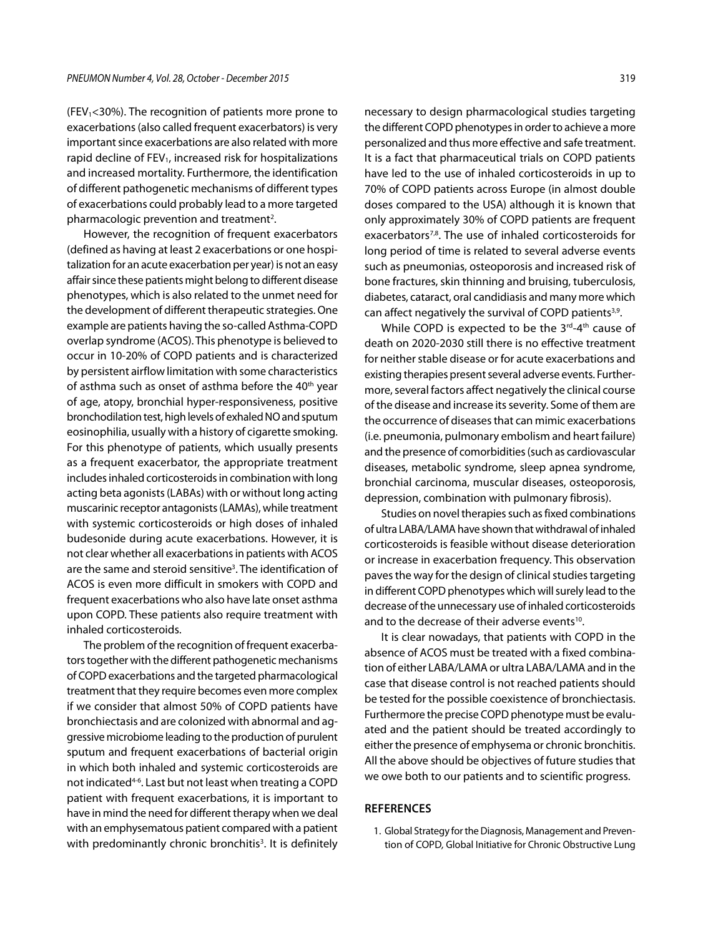(FEV<sub>1</sub><30%). The recognition of patients more prone to exacerbations (also called frequent exacerbators) is very important since exacerbations are also related with more rapid decline of  $FEV<sub>1</sub>$ , increased risk for hospitalizations and increased mortality. Furthermore, the identification of different pathogenetic mechanisms of different types of exacerbations could probably lead to a more targeted pharmacologic prevention and treatment<sup>2</sup>.

However, the recognition of frequent exacerbators (defined as having at least 2 exacerbations or one hospitalization for an acute exacerbation per year) is not an easy affair since these patients might belong to different disease phenotypes, which is also related to the unmet need for the development of different therapeutic strategies. One example are patients having the so-called Asthma-COPD overlap syndrome (ACOS). This phenotype is believed to occur in 10-20% of COPD patients and is characterized by persistent airflow limitation with some characteristics of asthma such as onset of asthma before the 40<sup>th</sup> year of age, atopy, bronchial hyper-responsiveness, positive bronchodilation test, high levels of exhaled NO and sputum eosinophilia, usually with a history of cigarette smoking. For this phenotype of patients, which usually presents as a frequent exacerbator, the appropriate treatment includes inhaled corticosteroids in combination with long acting beta agonists (LABAs) with or without long acting muscarinic receptor antagonists (LAMAs), while treatment with systemic corticosteroids or high doses of inhaled budesonide during acute exacerbations. However, it is not clear whether all exacerbations in patients with ACOS are the same and steroid sensitive<sup>3</sup>. The identification of ACOS is even more difficult in smokers with COPD and frequent exacerbations who also have late onset asthma upon COPD. These patients also require treatment with inhaled corticosteroids.

The problem of the recognition of frequent exacerbators together with the different pathogenetic mechanisms of COPD exacerbations and the targeted pharmacological treatment that they require becomes even more complex if we consider that almost 50% of COPD patients have bronchiectasis and are colonized with abnormal and aggressive microbiome leading to the production of purulent sputum and frequent exacerbations of bacterial origin in which both inhaled and systemic corticosteroids are not indicated4-6. Last but not least when treating a COPD patient with frequent exacerbations, it is important to have in mind the need for different therapy when we deal with an emphysematous patient compared with a patient with predominantly chronic bronchitis<sup>3</sup>. It is definitely

necessary to design pharmacological studies targeting the different COPD phenotypes in order to achieve a more personalized and thus more effective and safe treatment. It is a fact that pharmaceutical trials on COPD patients have led to the use of inhaled corticosteroids in up to 70% of COPD patients across Europe (in almost double doses compared to the USA) although it is known that only approximately 30% of COPD patients are frequent exacerbators<sup>7,8</sup>. The use of inhaled corticosteroids for long period of time is related to several adverse events such as pneumonias, osteoporosis and increased risk of bone fractures, skin thinning and bruising, tuberculosis, diabetes, cataract, oral candidiasis and many more which can affect negatively the survival of COPD patients<sup>3,9</sup>.

While COPD is expected to be the  $3^{rd}-4^{th}$  cause of death on 2020-2030 still there is no effective treatment for neither stable disease or for acute exacerbations and existing therapies present several adverse events. Furthermore, several factors affect negatively the clinical course of the disease and increase its severity. Some of them are the occurrence of diseases that can mimic exacerbations (i.e. pneumonia, pulmonary embolism and heart failure) and the presence of comorbidities (such as cardiovascular diseases, metabolic syndrome, sleep apnea syndrome, bronchial carcinoma, muscular diseases, osteoporosis, depression, combination with pulmonary fibrosis).

Studies on novel therapies such as fixed combinations of ultra LABA/LAMA have shown that withdrawal of inhaled corticosteroids is feasible without disease deterioration or increase in exacerbation frequency. This observation paves the way for the design of clinical studies targeting in different COPD phenotypes which will surely lead to the decrease of the unnecessary use of inhaled corticosteroids and to the decrease of their adverse events<sup>10</sup>.

It is clear nowadays, that patients with COPD in the absence of ACOS must be treated with a fixed combination of either LABA/LAMA or ultra LABA/LAMA and in the case that disease control is not reached patients should be tested for the possible coexistence of bronchiectasis. Furthermore the precise COPD phenotype must be evaluated and the patient should be treated accordingly to either the presence of emphysema or chronic bronchitis. All the above should be objectives of future studies that we owe both to our patients and to scientific progress.

## **REFERENCES**

1. Global Strategy for the Diagnosis, Management and Prevention of COPD*,* Global Initiative for Chronic Obstructive Lung